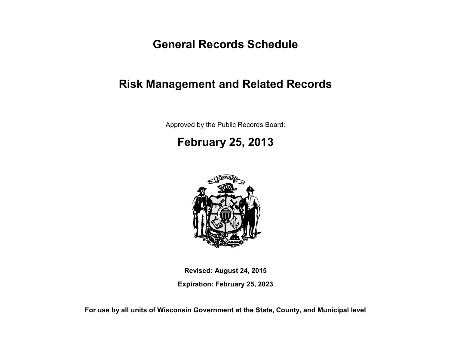**General Records Schedule**

## **Risk Management and Related Records**

Approved by the Public Records Board:

# **February 25, 2013**



**Revised: August 24, 2015**

**Expiration: February 25, 2023**

**For use by all units of Wisconsin Government at the State, County, and Municipal level**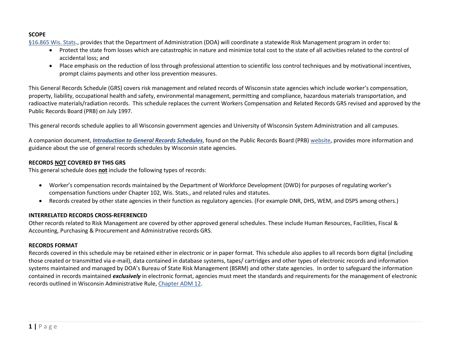## **SCOPE**

[§16.865 Wis. Stats.](http://docs.legis.wi.gov/statutes/statutes/16/V/865), provides that the Department of Administration (DOA) will coordinate a statewide Risk Management program in order to:

- Protect the state from losses which are catastrophic in nature and minimize total cost to the state of all activities related to the control of accidental loss; and
- Place emphasis on the reduction of loss through professional attention to scientific loss control techniques and by motivational incentives, prompt claims payments and other loss prevention measures.

This General Records Schedule (GRS) covers risk management and related records of Wisconsin state agencies which include worker's compensation, property, liability, occupational health and safety, environmental management, permitting and compliance, hazardous materials transportation, and radioactive materials/radiation records. This schedule replaces the current Workers Compensation and Related Records GRS revised and approved by the Public Records Board (PRB) on July 1997.

This general records schedule applies to all Wisconsin government agencies and University of Wisconsin System Administration and all campuses.

A companion document, *[Introduction to General Records Schedules](http://publicrecordsboard.wi.gov/docview.asp?docid=16116&locid=165)*, found on the Public Records Board (PRB) [website,](http://publicrecordsboard.wi.gov/) provides more information and guidance about the use of general records schedules by Wisconsin state agencies.

## **RECORDS NOT COVERED BY THIS GRS**

This general schedule does **not** include the following types of records:

- Worker's compensation records maintained by the Department of Workforce Development (DWD) for purposes of regulating worker's compensation functions under Chapter 102, Wis. Stats., and related rules and statutes.
- Records created by other state agencies in their function as regulatory agencies. (For example DNR, DHS, WEM, and DSPS among others.)

#### **INTERRELATED RECORDS CROSS-REFERENCED**

Other records related to Risk Management are covered by other approved general schedules. These include Human Resources, Facilities, Fiscal & Accounting, Purchasing & Procurement and Administrative records GRS.

## **RECORDS FORMAT**

Records covered in this schedule may be retained either in electronic or in paper format. This schedule also applies to all records born digital (including those created or transmitted via e-mail), data contained in database systems, tapes/ cartridges and other types of electronic records and information systems maintained and managed by DOA's Bureau of State Risk Management (BSRM) and other state agencies. In order to safeguard the information contained in records maintained *exclusively* in electronic format, agencies must meet the standards and requirements for the management of electronic records outlined in Wisconsin Administrative Rule, [Chapter ADM 12.](http://publicrecordsboard.wi.gov/docview.asp?docid=15970&locid=165)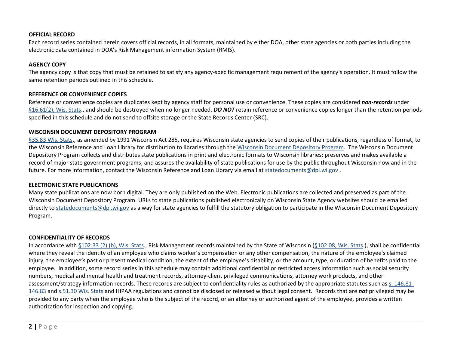#### **OFFICIAL RECORD**

Each record series contained herein covers official records, in all formats, maintained by either DOA, other state agencies or both parties including the electronic data contained in DOA's Risk Management information System (RMIS).

#### **AGENCY COPY**

The agency copy is that copy that must be retained to satisfy any agency-specific management requirement of the agency's operation. It must follow the same retention periods outlined in this schedule.

#### **REFERENCE OR CONVENIENCE COPIES**

Reference or convenience copies are duplicates kept by agency staff for personal use or convenience. These copies are considered *non-records* under [§16.61\(2\), Wis. Stats.](http://docs.legis.wi.gov/statutes/statutes/16/III/61/2), and should be destroyed when no longer needed. **DO NOT** retain reference or convenience copies longer than the retention periods specified in this schedule and do not send to offsite storage or the State Records Center (SRC).

#### **WISCONSIN DOCUMENT DEPOSITORY PROGRAM**

[§35.83 Wis. Stats.](http://docs.legis.wi.gov/statutes/statutes/35/II/83), as amended by 1991 Wisconsin Act 285, requires Wisconsin state agencies to send copies of their publications, regardless of format, to the Wisconsin Reference and Loan Library for distribution to libraries through the [Wisconsin Document Depository Program.](http://rl3.dpi.wi.gov/docdepo) The Wisconsin Document Depository Program collects and distributes state publications in print and electronic formats to Wisconsin libraries; preserves and makes available a record of major state government programs; and assures the availability of state publications for use by the public throughout Wisconsin now and in the future. For more information, contact the Wisconsin Reference and Loan Library via email at [statedocuments@dpi.wi.gov](mailto:statedocuments@dpi.wi.gov)

#### **ELECTRONIC STATE PUBLICATIONS**

Many state publications are now born digital. They are only published on the Web. Electronic publications are collected and preserved as part of the Wisconsin Document Depository Program. URLs to state publications published electronically on Wisconsin State Agency websites should be emailed directly to [statedocuments@dpi.wi.gov](mailto:statedocuments@dpi.wi.gov) as a way for state agencies to fulfill the statutory obligation to participate in the Wisconsin Document Depository Program.

#### **CONFIDENTIALITY OF RECORDS**

In accordance with [§102.33 \(2\) \(b\), Wis. Stats.](http://docs.legis.wi.gov/statutes/statutes/102/33/2/b), Risk Management records maintained by the State of Wisconsin [\(§102.08, Wis. Stats.](http://docs.legis.wi.gov/statutes/statutes/102/08)), shall be confidential where they reveal the identity of an employee who claims worker's compensation or any other compensation, the nature of the employee's claimed injury, the employee's past or present medical condition, the extent of the employee's disability, or the amount, type, or duration of benefits paid to the employee. In addition, some record series in this schedule may contain additional confidential or restricted access information such as social security numbers, medical and mental health and treatment records, attorney-client privileged communications, attorney work products, and other assessment/strategy information records. These records are subject to confidentiality rules as authorized by the appropriate statutes such a[s s. 146.81-](http://docs.legis.wi.gov/statutes/statutes/146/81) [146.83](http://docs.legis.wi.gov/statutes/statutes/146/81) and [s.51.30 Wis. Stats](http://docs.legis.wi.gov/statutes/statutes/51/30) and HIPAA regulations and cannot be disclosed or released without legal consent. Records that are *not* privileged may be provided to any party when the employee who is the subject of the record, or an attorney or authorized agent of the employee, provides a written authorization for inspection and copying.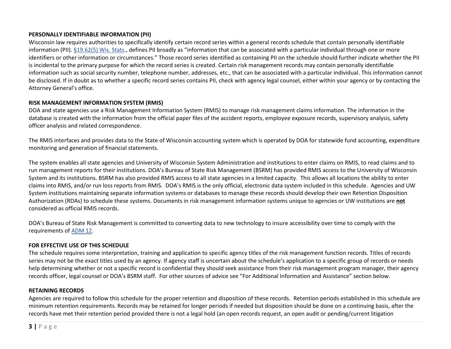## **PERSONALLY IDENTIFIABLE INFORMATION (PII)**

Wisconsin law requires authorities to specifically identify certain record series within a general records schedule that contain personally identifiable information (PII). [§19.62\(5\) Wis. Stats.](http://docs.legis.wi.gov/statutes/statutes/19/IV/62/5), defines PII broadly as "information that can be associated with a particular individual through one or more identifiers or other information or circumstances." Those record series identified as containing PII on the schedule should further indicate whether the PII is incidental to the primary purpose for which the record series is created. Certain risk management records may contain personally identifiable information such as social security number, telephone number, addresses, etc., that can be associated with a particular individual. This information cannot be disclosed. If in doubt as to whether a specific record series contains PII, check with agency legal counsel, either within your agency or by contacting the Attorney General's office.

## **RISK MANAGEMENT INFORMATION SYSTEM (RMIS)**

DOA and state agencies use a Risk Management Information System (RMIS) to manage risk management claims information. The information in the database is created with the information from the official paper files of the accident reports, employee exposure records, supervisory analysis, safety officer analysis and related correspondence.

The RMIS interfaces and provides data to the State of Wisconsin accounting system which is operated by DOA for statewide fund accounting, expenditure monitoring and generation of financial statements.

The system enables all state agencies and University of Wisconsin System Administration and institutions to enter claims on RMIS, to read claims and to run management reports for their institutions. DOA's Bureau of State Risk Management (BSRM) has provided RMIS access to the University of Wisconsin System and its institutions. BSRM has also provided RMIS access to all state agencies in a limited capacity. This allows all locations the ability to enter claims into RMIS, and/or run loss reports from RMIS. DOA's RMIS is the only official, electronic data system included in this schedule. Agencies and UW System institutions maintaining separate information systems or databases to manage these records should develop their own Retention Disposition Authorization (RDAs) to schedule these systems. Documents in risk management information systems unique to agencies or UW institutions are **not** considered as official RMIS records.

DOA's Bureau of State Risk Management is committed to converting data to new technology to insure accessibility over time to comply with the requirements of [ADM 12.](http://publicrecordsboard.wi.gov/docview.asp?docid=15970&locid=165)

## **FOR EFFECTIVE USE OF THIS SCHEDULE**

The schedule requires some interpretation, training and application to specific agency titles of the risk management function records. Titles of records series may not be the exact titles used by an agency. If agency staff is uncertain about the schedule's application to a specific group of records or needs help determining whether or not a specific record is confidential they should seek assistance from their risk management program manager, their agency records officer, legal counsel or DOA's BSRM staff. For other sources of advice see "For Additional Information and Assistance" section below.

#### **RETAINING RECORDS**

Agencies are required to follow this schedule for the proper retention and disposition of these records. Retention periods established in this schedule are minimum retention requirements. Records may be retained for longer periods if needed but disposition should be done on a continuing basis, after the records have met their retention period provided there is not a legal hold (an open records request, an open audit or pending/current litigation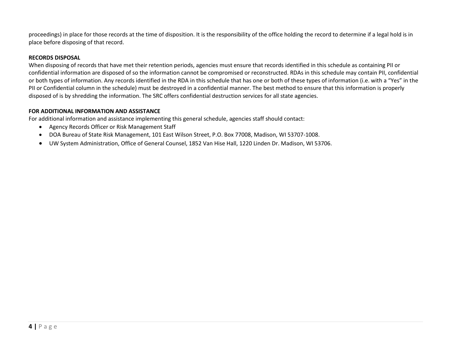proceedings) in place for those records at the time of disposition. It is the responsibility of the office holding the record to determine if a legal hold is in place before disposing of that record.

### **RECORDS DISPOSAL**

When disposing of records that have met their retention periods, agencies must ensure that records identified in this schedule as containing PII or confidential information are disposed of so the information cannot be compromised or reconstructed. RDAs in this schedule may contain PII, confidential or both types of information. Any records identified in the RDA in this schedule that has one or both of these types of information (i.e. with a "Yes" in the PII or Confidential column in the schedule) must be destroyed in a confidential manner. The best method to ensure that this information is properly disposed of is by shredding the information. The SRC offers confidential destruction services for all state agencies.

## **FOR ADDITIONAL INFORMATION AND ASSISTANCE**

For additional information and assistance implementing this general schedule, agencies staff should contact:

- Agency Records Officer or Risk Management Staff
- DOA Bureau of State Risk Management, 101 East Wilson Street, P.O. Box 77008, Madison, WI 53707-1008.
- UW System Administration, Office of General Counsel, 1852 Van Hise Hall, 1220 Linden Dr. Madison, WI 53706.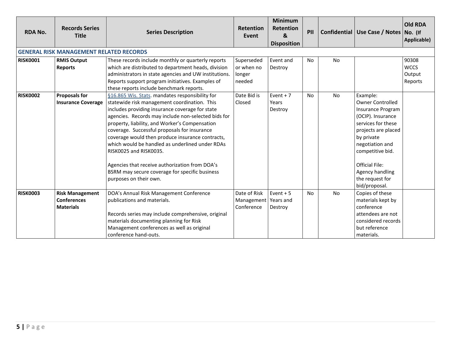| <b>RDA No.</b>  | <b>Records Series</b><br><b>Title</b>                            | <b>Series Description</b>                                                                                                                                                                                                                                                                                                                                                                                                                                                                                                                                                  | <b>Retention</b><br>Event                    | <b>Minimum</b><br><b>Retention</b><br>&<br><b>Disposition</b> | PII       |           | Confidential   Use Case / Notes   No. (If                                                                                                                                                                                                                | <b>Old RDA</b><br>Applicable)             |
|-----------------|------------------------------------------------------------------|----------------------------------------------------------------------------------------------------------------------------------------------------------------------------------------------------------------------------------------------------------------------------------------------------------------------------------------------------------------------------------------------------------------------------------------------------------------------------------------------------------------------------------------------------------------------------|----------------------------------------------|---------------------------------------------------------------|-----------|-----------|----------------------------------------------------------------------------------------------------------------------------------------------------------------------------------------------------------------------------------------------------------|-------------------------------------------|
|                 | <b>GENERAL RISK MANAGEMENT RELATED RECORDS</b>                   |                                                                                                                                                                                                                                                                                                                                                                                                                                                                                                                                                                            |                                              |                                                               |           |           |                                                                                                                                                                                                                                                          |                                           |
| <b>RISK0001</b> | <b>RMIS Output</b><br><b>Reports</b>                             | These records include monthly or quarterly reports<br>which are distributed to department heads, division<br>administrators in state agencies and UW institutions.<br>Reports support program initiatives. Examples of<br>these reports include benchmark reports.                                                                                                                                                                                                                                                                                                         | Superseded<br>or when no<br>longer<br>needed | Event and<br>Destroy                                          | No        | <b>No</b> |                                                                                                                                                                                                                                                          | 90308<br><b>WCCS</b><br>Output<br>Reports |
| <b>RISK0002</b> | <b>Proposals for</b><br><b>Insurance Coverage</b>                | §16.865 Wis. Stats. mandates responsibility for<br>statewide risk management coordination. This<br>includes providing insurance coverage for state<br>agencies. Records may include non-selected bids for<br>property, liability, and Worker's Compensation<br>coverage. Successful proposals for insurance<br>coverage would then produce insurance contracts,<br>which would be handled as underlined under RDAs<br>RISK0025 and RISK0035.<br>Agencies that receive authorization from DOA's<br>BSRM may secure coverage for specific business<br>purposes on their own. | Date Bid is<br>Closed                        | Event $+7$<br>Years<br>Destroy                                | No        | <b>No</b> | Example:<br><b>Owner Controlled</b><br>Insurance Program<br>(OCIP). Insurance<br>services for these<br>projects are placed<br>by private<br>negotiation and<br>competitive bid.<br>Official File:<br>Agency handling<br>the request for<br>bid/proposal. |                                           |
| <b>RISK0003</b> | <b>Risk Management</b><br><b>Conferences</b><br><b>Materials</b> | DOA's Annual Risk Management Conference<br>publications and materials.<br>Records series may include comprehensive, original<br>materials documenting planning for Risk<br>Management conferences as well as original<br>conference hand-outs.                                                                                                                                                                                                                                                                                                                             | Date of Risk<br>Management<br>Conference     | Event $+5$<br>Years and<br>Destroy                            | <b>No</b> | No        | Copies of these<br>materials kept by<br>conference<br>attendees are not<br>considered records<br>but reference<br>materials.                                                                                                                             |                                           |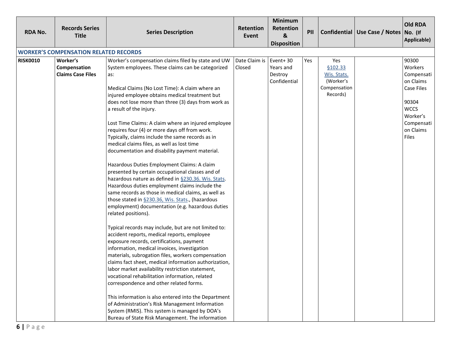| <b>RDA No.</b>  | <b>Records Series</b><br><b>Title</b>                | <b>Series Description</b>                                                                                                                                                                                                                                                                                                                                                                                                                                                                                                                                                                                                                                                                                                                                                                                                                                                                                                                                                                                                                                                                                                                                                                                                                                                                                                                                                                                                                                                                                                                                                                                                                                | <b>Retention</b><br>Event | <b>Minimum</b><br><b>Retention</b><br>&<br><b>Disposition</b> | PII |                                                                         | Confidential   Use Case / Notes   No. (If | <b>Old RDA</b><br>Applicable)                                                                                                            |
|-----------------|------------------------------------------------------|----------------------------------------------------------------------------------------------------------------------------------------------------------------------------------------------------------------------------------------------------------------------------------------------------------------------------------------------------------------------------------------------------------------------------------------------------------------------------------------------------------------------------------------------------------------------------------------------------------------------------------------------------------------------------------------------------------------------------------------------------------------------------------------------------------------------------------------------------------------------------------------------------------------------------------------------------------------------------------------------------------------------------------------------------------------------------------------------------------------------------------------------------------------------------------------------------------------------------------------------------------------------------------------------------------------------------------------------------------------------------------------------------------------------------------------------------------------------------------------------------------------------------------------------------------------------------------------------------------------------------------------------------------|---------------------------|---------------------------------------------------------------|-----|-------------------------------------------------------------------------|-------------------------------------------|------------------------------------------------------------------------------------------------------------------------------------------|
|                 | <b>WORKER'S COMPENSATION RELATED RECORDS</b>         |                                                                                                                                                                                                                                                                                                                                                                                                                                                                                                                                                                                                                                                                                                                                                                                                                                                                                                                                                                                                                                                                                                                                                                                                                                                                                                                                                                                                                                                                                                                                                                                                                                                          |                           |                                                               |     |                                                                         |                                           |                                                                                                                                          |
| <b>RISK0010</b> | Worker's<br>Compensation<br><b>Claims Case Files</b> | Worker's compensation claims filed by state and UW<br>System employees. These claims can be categorized<br>as:<br>Medical Claims (No Lost Time): A claim where an<br>injured employee obtains medical treatment but<br>does not lose more than three (3) days from work as<br>a result of the injury.<br>Lost Time Claims: A claim where an injured employee<br>requires four (4) or more days off from work.<br>Typically, claims include the same records as in<br>medical claims files, as well as lost time<br>documentation and disability payment material.<br>Hazardous Duties Employment Claims: A claim<br>presented by certain occupational classes and of<br>hazardous nature as defined in §230.36. Wis. Stats.<br>Hazardous duties employment claims include the<br>same records as those in medical claims, as well as<br>those stated in §230.36, Wis. Stats., (hazardous<br>employment) documentation (e.g. hazardous duties<br>related positions).<br>Typical records may include, but are not limited to:<br>accident reports, medical reports, employee<br>exposure records, certifications, payment<br>information, medical invoices, investigation<br>materials, subrogation files, workers compensation<br>claims fact sheet, medical information authorization,<br>labor market availability restriction statement,<br>vocational rehabilitation information, related<br>correspondence and other related forms.<br>This information is also entered into the Department<br>of Administration's Risk Management Information<br>System (RMIS). This system is managed by DOA's<br>Bureau of State Risk Management. The information | Date Claim is<br>Closed   | Event+30<br>Years and<br>Destroy<br>Confidential              | Yes | Yes<br>\$102.33<br>Wis. Stats.<br>(Worker's<br>Compensation<br>Records) |                                           | 90300<br>Workers<br>Compensati<br>on Claims<br><b>Case Files</b><br>90304<br><b>WCCS</b><br>Worker's<br>Compensati<br>on Claims<br>Files |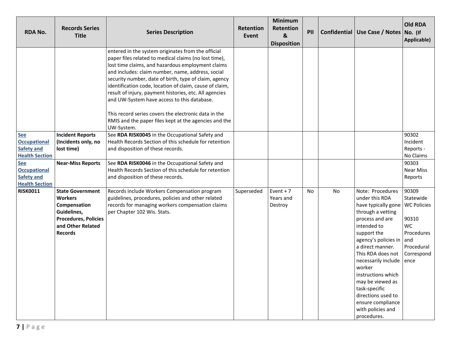| <b>RDA No.</b>                                                                  | <b>Records Series</b><br><b>Title</b>                                                                                                          | <b>Series Description</b>                                                                                                                                                                                                                                                                                                                                                                                                                                                                                                                                                         | <b>Retention</b><br>Event | <b>Minimum</b><br><b>Retention</b><br>$\boldsymbol{8}$<br><b>Disposition</b> | PII       |           | Confidential   Use Case / Notes   No. (If                                                                                                                                                                                                                                                                                                                                   | <b>Old RDA</b><br>Applicable)                                                                                           |
|---------------------------------------------------------------------------------|------------------------------------------------------------------------------------------------------------------------------------------------|-----------------------------------------------------------------------------------------------------------------------------------------------------------------------------------------------------------------------------------------------------------------------------------------------------------------------------------------------------------------------------------------------------------------------------------------------------------------------------------------------------------------------------------------------------------------------------------|---------------------------|------------------------------------------------------------------------------|-----------|-----------|-----------------------------------------------------------------------------------------------------------------------------------------------------------------------------------------------------------------------------------------------------------------------------------------------------------------------------------------------------------------------------|-------------------------------------------------------------------------------------------------------------------------|
|                                                                                 |                                                                                                                                                | entered in the system originates from the official<br>paper files related to medical claims (no lost time),<br>lost time claims, and hazardous employment claims<br>and includes: claim number, name, address, social<br>security number, date of birth, type of claim, agency<br>identification code, location of claim, cause of claim,<br>result of injury, payment histories, etc. All agencies<br>and UW-System have access to this database.<br>This record series covers the electronic data in the<br>RMIS and the paper files kept at the agencies and the<br>UW-System. |                           |                                                                              |           |           |                                                                                                                                                                                                                                                                                                                                                                             |                                                                                                                         |
| <b>See</b><br><b>Occupational</b><br><b>Safety and</b><br><b>Health Section</b> | <b>Incident Reports</b><br>(Incidents only, no<br>lost time)                                                                                   | See RDA RISK0045 in the Occupational Safety and<br>Health Records Section of this schedule for retention<br>and disposition of these records.                                                                                                                                                                                                                                                                                                                                                                                                                                     |                           |                                                                              |           |           |                                                                                                                                                                                                                                                                                                                                                                             | 90302<br>Incident<br>Reports -<br>No Claims                                                                             |
| <b>See</b><br><b>Occupational</b><br><b>Safety and</b><br><b>Health Section</b> | <b>Near-Miss Reports</b>                                                                                                                       | See RDA RISK0046 in the Occupational Safety and<br>Health Records Section of this schedule for retention<br>and disposition of these records.                                                                                                                                                                                                                                                                                                                                                                                                                                     |                           |                                                                              |           |           |                                                                                                                                                                                                                                                                                                                                                                             | 90303<br><b>Near Miss</b><br>Reports                                                                                    |
| <b>RISK0011</b>                                                                 | <b>State Government</b><br><b>Workers</b><br>Compensation<br>Guidelines,<br><b>Procedures, Policies</b><br>and Other Related<br><b>Records</b> | Records include Workers Compensation program<br>guidelines, procedures, policies and other related<br>records for managing workers compensation claims<br>per Chapter 102 Wis. Stats.                                                                                                                                                                                                                                                                                                                                                                                             | Superseded                | Event $+7$<br>Years and<br>Destroy                                           | <b>No</b> | <b>No</b> | Note: Procedures<br>under this RDA<br>have typically gone<br>through a vetting<br>process and are<br>intended to<br>support the<br>agency's policies in<br>a direct manner.<br>This RDA does not<br>necessarily include<br>worker<br>instructions which<br>may be viewed as<br>task-specific<br>directions used to<br>ensure compliance<br>with policies and<br>procedures. | 90309<br>Statewide<br><b>WC Policies</b><br>90310<br><b>WC</b><br>Procedures<br>and<br>Procedural<br>Correspond<br>ence |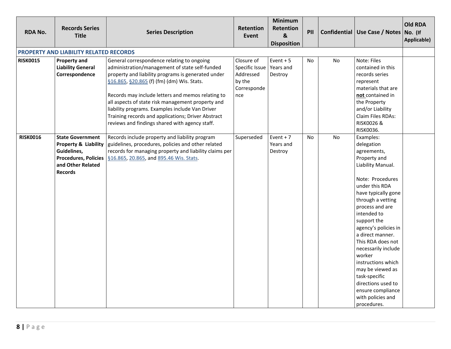| <b>RDA No.</b>  | <b>Records Series</b><br><b>Title</b>                                                                                                           | <b>Series Description</b>                                                                                                                                                                                                                                                                                                                                                                                                                                             | <b>Retention</b><br>Event                                                 | <b>Minimum</b><br>Retention<br>$\boldsymbol{8}$<br><b>Disposition</b> | PII       |           | Confidential Use Case / Notes No. (If                                                                                                                                                                                                                                                                                                                                                                                                                      | Old RDA<br>Applicable) |
|-----------------|-------------------------------------------------------------------------------------------------------------------------------------------------|-----------------------------------------------------------------------------------------------------------------------------------------------------------------------------------------------------------------------------------------------------------------------------------------------------------------------------------------------------------------------------------------------------------------------------------------------------------------------|---------------------------------------------------------------------------|-----------------------------------------------------------------------|-----------|-----------|------------------------------------------------------------------------------------------------------------------------------------------------------------------------------------------------------------------------------------------------------------------------------------------------------------------------------------------------------------------------------------------------------------------------------------------------------------|------------------------|
|                 | PROPERTY AND LIABILITY RELATED RECORDS                                                                                                          |                                                                                                                                                                                                                                                                                                                                                                                                                                                                       |                                                                           |                                                                       |           |           |                                                                                                                                                                                                                                                                                                                                                                                                                                                            |                        |
| <b>RISK0015</b> | <b>Property and</b><br><b>Liability General</b><br>Correspondence                                                                               | General correspondence relating to ongoing<br>administration/management of state self-funded<br>property and liability programs is generated under<br>§16.865, §20.865 (f) (fm) (dm) Wis. Stats.<br>Records may include letters and memos relating to<br>all aspects of state risk management property and<br>liability programs. Examples include Van Driver<br>Training records and applications; Driver Abstract<br>reviews and findings shared with agency staff. | Closure of<br>Specific Issue<br>Addressed<br>by the<br>Corresponde<br>nce | Event $+5$<br>Years and<br>Destroy                                    | <b>No</b> | <b>No</b> | Note: Files<br>contained in this<br>records series<br>represent<br>materials that are<br>not contained in<br>the Property<br>and/or Liability<br>Claim Files RDAs:<br><b>RISK0026 &amp;</b><br>RISK0036.                                                                                                                                                                                                                                                   |                        |
| <b>RISK0016</b> | <b>State Government</b><br><b>Property &amp; Liability</b><br>Guidelines,<br><b>Procedures, Policies</b><br>and Other Related<br><b>Records</b> | Records include property and liability program<br>guidelines, procedures, policies and other related<br>records for managing property and liability claims per<br>§16.865, 20.865, and 895.46 Wis. Stats.                                                                                                                                                                                                                                                             | Superseded                                                                | Event $+7$<br>Years and<br>Destroy                                    | <b>No</b> | <b>No</b> | Examples:<br>delegation<br>agreements,<br>Property and<br>Liability Manual.<br>Note: Procedures<br>under this RDA<br>have typically gone<br>through a vetting<br>process and are<br>intended to<br>support the<br>agency's policies in<br>a direct manner.<br>This RDA does not<br>necessarily include<br>worker<br>instructions which<br>may be viewed as<br>task-specific<br>directions used to<br>ensure compliance<br>with policies and<br>procedures. |                        |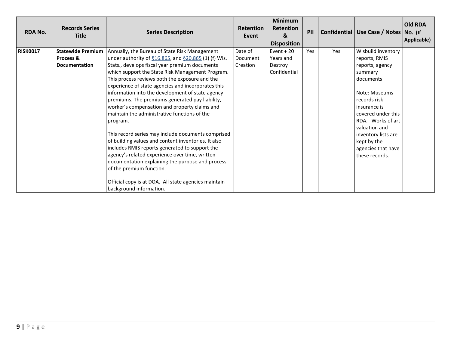| <b>RDA No.</b>  | <b>Records Series</b><br><b>Title</b> | <b>Series Description</b>                                 | <b>Retention</b><br>Event | <b>Minimum</b><br><b>Retention</b><br>&<br><b>Disposition</b> | PII |     | Confidential   Use Case / Notes   No. (If | <b>Old RDA</b><br>Applicable) |
|-----------------|---------------------------------------|-----------------------------------------------------------|---------------------------|---------------------------------------------------------------|-----|-----|-------------------------------------------|-------------------------------|
| <b>RISK0017</b> | Statewide Premium                     | Annually, the Bureau of State Risk Management             | Date of                   | Event $+20$                                                   | Yes | Yes | Wisbuild inventory                        |                               |
|                 | Process &                             | under authority of $$16.865$ , and $$20.865$ (1) (f) Wis. | Document                  | Years and                                                     |     |     | reports, RMIS                             |                               |
|                 | <b>Documentation</b>                  | Stats., develops fiscal year premium documents            | Creation                  | Destroy                                                       |     |     | reports, agency                           |                               |
|                 |                                       | which support the State Risk Management Program.          |                           | Confidential                                                  |     |     | summary                                   |                               |
|                 |                                       | This process reviews both the exposure and the            |                           |                                                               |     |     | documents                                 |                               |
|                 |                                       | experience of state agencies and incorporates this        |                           |                                                               |     |     |                                           |                               |
|                 |                                       | information into the development of state agency          |                           |                                                               |     |     | Note: Museums                             |                               |
|                 |                                       | premiums. The premiums generated pay liability,           |                           |                                                               |     |     | records risk                              |                               |
|                 |                                       | worker's compensation and property claims and             |                           |                                                               |     |     | insurance is                              |                               |
|                 |                                       | maintain the administrative functions of the              |                           |                                                               |     |     | covered under this                        |                               |
|                 |                                       | program.                                                  |                           |                                                               |     |     | RDA. Works of art                         |                               |
|                 |                                       | This record series may include documents comprised        |                           |                                                               |     |     | valuation and                             |                               |
|                 |                                       | of building values and content inventories. It also       |                           |                                                               |     |     | inventory lists are<br>kept by the        |                               |
|                 |                                       | includes RMIS reports generated to support the            |                           |                                                               |     |     | agencies that have                        |                               |
|                 |                                       | agency's related experience over time, written            |                           |                                                               |     |     | these records.                            |                               |
|                 |                                       | documentation explaining the purpose and process          |                           |                                                               |     |     |                                           |                               |
|                 |                                       | of the premium function.                                  |                           |                                                               |     |     |                                           |                               |
|                 |                                       |                                                           |                           |                                                               |     |     |                                           |                               |
|                 |                                       | Official copy is at DOA. All state agencies maintain      |                           |                                                               |     |     |                                           |                               |
|                 |                                       | background information.                                   |                           |                                                               |     |     |                                           |                               |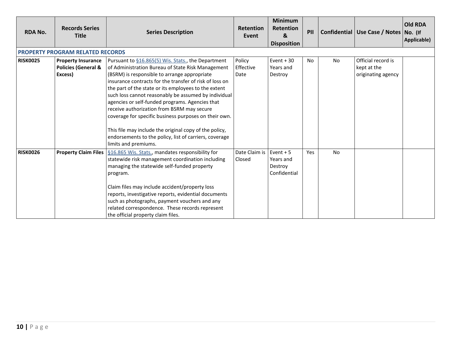| <b>RDA No.</b>  | <b>Records Series</b><br><b>Title</b>                                  | <b>Series Description</b>                                                                                                                                                                                                                                                                                                                                                                                                                                                                                                                                                                                                                | <b>Retention</b><br>Event   | <b>Minimum</b><br><b>Retention</b><br>&<br><b>Disposition</b> | PII |           | Confidential   Use Case / Notes   No. (If               | <b>Old RDA</b><br>Applicable) |
|-----------------|------------------------------------------------------------------------|------------------------------------------------------------------------------------------------------------------------------------------------------------------------------------------------------------------------------------------------------------------------------------------------------------------------------------------------------------------------------------------------------------------------------------------------------------------------------------------------------------------------------------------------------------------------------------------------------------------------------------------|-----------------------------|---------------------------------------------------------------|-----|-----------|---------------------------------------------------------|-------------------------------|
|                 | <b>PROPERTY PROGRAM RELATED RECORDS</b>                                |                                                                                                                                                                                                                                                                                                                                                                                                                                                                                                                                                                                                                                          |                             |                                                               |     |           |                                                         |                               |
| <b>RISK0025</b> | <b>Property Insurance</b><br><b>Policies (General &amp;</b><br>Excess) | Pursuant to §16.865(5) Wis. Stats., the Department<br>of Administration Bureau of State Risk Management<br>(BSRM) is responsible to arrange appropriate<br>insurance contracts for the transfer of risk of loss on<br>the part of the state or its employees to the extent<br>such loss cannot reasonably be assumed by individual<br>agencies or self-funded programs. Agencies that<br>receive authorization from BSRM may secure<br>coverage for specific business purposes on their own.<br>This file may include the original copy of the policy,<br>endorsements to the policy, list of carriers, coverage<br>limits and premiums. | Policy<br>Effective<br>Date | Event $+30$<br>Years and<br>Destroy                           | No  | <b>No</b> | Official record is<br>kept at the<br>originating agency |                               |
| <b>RISK0026</b> | <b>Property Claim Files</b>                                            | §16.865 Wis. Stats., mandates responsibility for<br>statewide risk management coordination including<br>managing the statewide self-funded property<br>program.<br>Claim files may include accident/property loss<br>reports, investigative reports, evidential documents<br>such as photographs, payment vouchers and any<br>related correspondence. These records represent<br>the official property claim files.                                                                                                                                                                                                                      | Date Claim is<br>Closed     | Event $+5$<br>Years and<br>Destroy<br>Confidential            | Yes | <b>No</b> |                                                         |                               |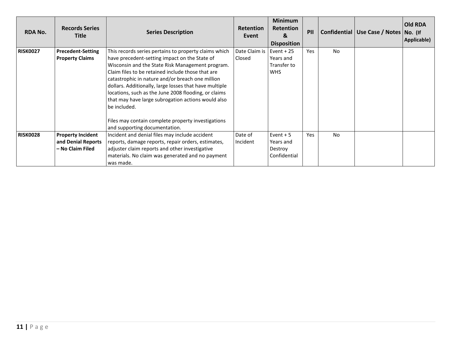| <b>RDA No.</b>  | <b>Records Series</b><br><b>Title</b>                              | <b>Series Description</b>                                                                                                                                                                                                                                                                                                                                                                                                                                                                                                                          | <b>Retention</b><br>Event | <b>Minimum</b><br><b>Retention</b><br>&<br><b>Disposition</b> | PII |                | Confidential   Use Case / Notes   No. (If | <b>Old RDA</b><br>Applicable) |
|-----------------|--------------------------------------------------------------------|----------------------------------------------------------------------------------------------------------------------------------------------------------------------------------------------------------------------------------------------------------------------------------------------------------------------------------------------------------------------------------------------------------------------------------------------------------------------------------------------------------------------------------------------------|---------------------------|---------------------------------------------------------------|-----|----------------|-------------------------------------------|-------------------------------|
| <b>RISK0027</b> | <b>Precedent-Setting</b><br><b>Property Claims</b>                 | This records series pertains to property claims which<br>have precedent-setting impact on the State of<br>Wisconsin and the State Risk Management program.<br>Claim files to be retained include those that are<br>catastrophic in nature and/or breach one million<br>dollars. Additionally, large losses that have multiple<br>locations, such as the June 2008 flooding, or claims<br>that may have large subrogation actions would also<br>be included.<br>Files may contain complete property investigations<br>and supporting documentation. | Date Claim is<br>Closed   | Event $+25$<br>Years and<br>Transfer to<br><b>WHS</b>         | Yes | <b>No</b>      |                                           |                               |
| <b>RISK0028</b> | <b>Property Incident</b><br>and Denial Reports<br>- No Claim Filed | Incident and denial files may include accident<br>reports, damage reports, repair orders, estimates,<br>adjuster claim reports and other investigative<br>materials. No claim was generated and no payment<br>was made.                                                                                                                                                                                                                                                                                                                            | Date of<br>Incident       | Event $+5$<br>Years and<br>Destroy<br>Confidential            | Yes | N <sub>o</sub> |                                           |                               |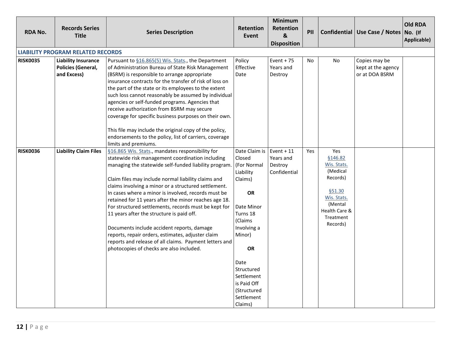| <b>RDA No.</b>  | <b>Records Series</b><br><b>Title</b>                           | <b>Series Description</b>                                                                                                                                                                                                                                                                                                                                                                                                                                                                                                                                                                                                                                                                                 | <b>Retention</b><br>Event                                                                                                                                                                                                                         | <b>Minimum</b><br>Retention<br>$\boldsymbol{8}$<br><b>Disposition</b> | PII       |                                                                                                                                     | Confidential Use Case / Notes No. (If                 | <b>Old RDA</b><br>Applicable) |
|-----------------|-----------------------------------------------------------------|-----------------------------------------------------------------------------------------------------------------------------------------------------------------------------------------------------------------------------------------------------------------------------------------------------------------------------------------------------------------------------------------------------------------------------------------------------------------------------------------------------------------------------------------------------------------------------------------------------------------------------------------------------------------------------------------------------------|---------------------------------------------------------------------------------------------------------------------------------------------------------------------------------------------------------------------------------------------------|-----------------------------------------------------------------------|-----------|-------------------------------------------------------------------------------------------------------------------------------------|-------------------------------------------------------|-------------------------------|
|                 | <b>LIABILITY PROGRAM RELATED RECORDS</b>                        |                                                                                                                                                                                                                                                                                                                                                                                                                                                                                                                                                                                                                                                                                                           |                                                                                                                                                                                                                                                   |                                                                       |           |                                                                                                                                     |                                                       |                               |
| <b>RISK0035</b> | <b>Liability Insurance</b><br>Policies (General,<br>and Excess) | Pursuant to §16.865(5) Wis. Stats., the Department<br>of Administration Bureau of State Risk Management<br>(BSRM) is responsible to arrange appropriate<br>insurance contracts for the transfer of risk of loss on<br>the part of the state or its employees to the extent<br>such loss cannot reasonably be assumed by individual<br>agencies or self-funded programs. Agencies that<br>receive authorization from BSRM may secure<br>coverage for specific business purposes on their own.<br>This file may include the original copy of the policy,<br>endorsements to the policy, list of carriers, coverage<br>limits and premiums.                                                                  | Policy<br>Effective<br>Date                                                                                                                                                                                                                       | Event $+75$<br>Years and<br>Destroy                                   | <b>No</b> | <b>No</b>                                                                                                                           | Copies may be<br>kept at the agency<br>or at DOA BSRM |                               |
| <b>RISK0036</b> | <b>Liability Claim Files</b>                                    | §16.865 Wis. Stats., mandates responsibility for<br>statewide risk management coordination including<br>managing the statewide self-funded liability program<br>Claim files may include normal liability claims and<br>claims involving a minor or a structured settlement.<br>In cases where a minor is involved, records must be<br>retained for 11 years after the minor reaches age 18.<br>For structured settlements, records must be kept for<br>11 years after the structure is paid off.<br>Documents include accident reports, damage<br>reports, repair orders, estimates, adjuster claim<br>reports and release of all claims. Payment letters and<br>photocopies of checks are also included. | Date Claim is<br>Closed<br>(For Normal<br>Liability<br>Claims)<br><b>OR</b><br>Date Minor<br>Turns 18<br>(Claims<br>Involving a<br>Minor)<br><b>OR</b><br>Date<br>Structured<br>Settlement<br>is Paid Off<br>(Structured<br>Settlement<br>Claims) | $Event + 11$<br>Years and<br>Destroy<br>Confidential                  | Yes       | Yes<br>§146.82<br>Wis. Stats.<br>(Medical<br>Records)<br>§51.30<br>Wis. Stats.<br>(Mental<br>Health Care &<br>Treatment<br>Records) |                                                       |                               |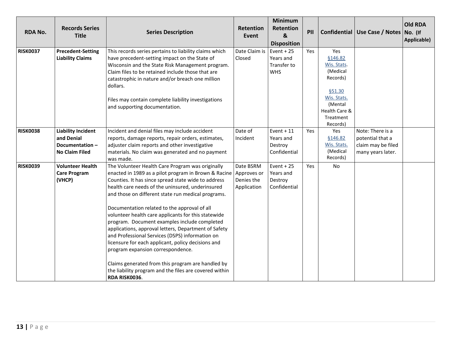| <b>RDA No.</b>  | <b>Records Series</b><br><b>Title</b>                                              | <b>Series Description</b>                                                                                                                                                                                                                                                                                                                                                                                                                                                                                                                                                                                                                                                                                                                                                          | <b>Retention</b><br>Event              | Minimum<br>Retention<br>&<br><b>Disposition</b>       | PII |                                                                                                                                     | Confidential   Use Case / Notes   No. (If                                       | <b>Old RDA</b><br>Applicable) |
|-----------------|------------------------------------------------------------------------------------|------------------------------------------------------------------------------------------------------------------------------------------------------------------------------------------------------------------------------------------------------------------------------------------------------------------------------------------------------------------------------------------------------------------------------------------------------------------------------------------------------------------------------------------------------------------------------------------------------------------------------------------------------------------------------------------------------------------------------------------------------------------------------------|----------------------------------------|-------------------------------------------------------|-----|-------------------------------------------------------------------------------------------------------------------------------------|---------------------------------------------------------------------------------|-------------------------------|
| <b>RISK0037</b> | <b>Precedent-Setting</b><br><b>Liability Claims</b>                                | This records series pertains to liability claims which<br>have precedent-setting impact on the State of<br>Wisconsin and the State Risk Management program.<br>Claim files to be retained include those that are<br>catastrophic in nature and/or breach one million<br>dollars.<br>Files may contain complete liability investigations<br>and supporting documentation.                                                                                                                                                                                                                                                                                                                                                                                                           | Date Claim is<br>Closed                | Event $+25$<br>Years and<br>Transfer to<br><b>WHS</b> | Yes | Yes<br>§146.82<br>Wis. Stats.<br>(Medical<br>Records)<br>§51.30<br>Wis. Stats.<br>(Mental<br>Health Care &<br>Treatment<br>Records) |                                                                                 |                               |
| <b>RISK0038</b> | <b>Liability Incident</b><br>and Denial<br>Documentation-<br><b>No Claim Filed</b> | Incident and denial files may include accident<br>reports, damage reports, repair orders, estimates,<br>adjuster claim reports and other investigative<br>materials. No claim was generated and no payment<br>was made.                                                                                                                                                                                                                                                                                                                                                                                                                                                                                                                                                            | Date of<br>Incident                    | Event $+11$<br>Years and<br>Destroy<br>Confidential   | Yes | Yes<br>§146.82<br>Wis. Stats.<br>(Medical<br>Records)                                                                               | Note: There is a<br>potential that a<br>claim may be filed<br>many years later. |                               |
| <b>RISK0039</b> | <b>Volunteer Health</b><br><b>Care Program</b><br>(VHCP)                           | The Volunteer Health Care Program was originally<br>enacted in 1989 as a pilot program in Brown & Racine Approves or<br>Counties. It has since spread state wide to address<br>health care needs of the uninsured, underinsured<br>and those on different state run medical programs.<br>Documentation related to the approval of all<br>volunteer health care applicants for this statewide<br>program. Document examples include completed<br>applications, approval letters, Department of Safety<br>and Professional Services (DSPS) information on<br>licensure for each applicant, policy decisions and<br>program expansion correspondence.<br>Claims generated from this program are handled by<br>the liability program and the files are covered within<br>RDA RISK0036. | Date BSRM<br>Denies the<br>Application | Event $+25$<br>Years and<br>Destroy<br>Confidential   | Yes | No                                                                                                                                  |                                                                                 |                               |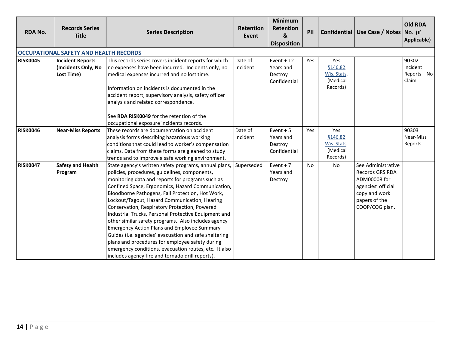<span id="page-14-0"></span>

| <b>RDA No.</b>  | <b>Records Series</b><br><b>Title</b>                        | <b>Series Description</b>                                                                                                                                                                                                                                                                                                                                                                                                                                                                                                                                                                                                                                                                                                                                           | <b>Retention</b><br>Event | <b>Minimum</b><br>Retention<br>&<br><b>Disposition</b> | PII |                                                                     | Confidential   Use Case / Notes   No. (If                                                                                       | <b>Old RDA</b><br>Applicable)              |
|-----------------|--------------------------------------------------------------|---------------------------------------------------------------------------------------------------------------------------------------------------------------------------------------------------------------------------------------------------------------------------------------------------------------------------------------------------------------------------------------------------------------------------------------------------------------------------------------------------------------------------------------------------------------------------------------------------------------------------------------------------------------------------------------------------------------------------------------------------------------------|---------------------------|--------------------------------------------------------|-----|---------------------------------------------------------------------|---------------------------------------------------------------------------------------------------------------------------------|--------------------------------------------|
|                 | <b>OCCUPATIONAL SAFETY AND HEALTH RECORDS</b>                |                                                                                                                                                                                                                                                                                                                                                                                                                                                                                                                                                                                                                                                                                                                                                                     |                           |                                                        |     |                                                                     |                                                                                                                                 |                                            |
| <b>RISK0045</b> | <b>Incident Reports</b><br>(Incidents Only, No<br>Lost Time) | This records series covers incident reports for which<br>no expenses have been incurred. Incidents only, no<br>medical expenses incurred and no lost time.<br>Information on incidents is documented in the<br>accident report, supervisory analysis, safety officer<br>analysis and related correspondence.<br>See RDA RISK0049 for the retention of the                                                                                                                                                                                                                                                                                                                                                                                                           | Date of<br>Incident       | Event + $12$<br>Years and<br>Destroy<br>Confidential   | Yes | <b>Yes</b><br><b>§146.82</b><br>Wis. Stats.<br>(Medical<br>Records) |                                                                                                                                 | 90302<br>Incident<br>Reports - No<br>Claim |
|                 |                                                              | occupational exposure incidents records.                                                                                                                                                                                                                                                                                                                                                                                                                                                                                                                                                                                                                                                                                                                            |                           |                                                        |     |                                                                     |                                                                                                                                 |                                            |
| <b>RISK0046</b> | <b>Near-Miss Reports</b>                                     | These records are documentation on accident<br>analysis forms describing hazardous working<br>conditions that could lead to worker's compensation<br>claims. Data from these forms are gleaned to study<br>trends and to improve a safe working environment.                                                                                                                                                                                                                                                                                                                                                                                                                                                                                                        | Date of<br>Incident       | Event $+5$<br>Years and<br>Destroy<br>Confidential     | Yes | Yes<br>§146.82<br>Wis. Stats.<br>(Medical<br>Records)               |                                                                                                                                 | 90303<br>Near-Miss<br>Reports              |
| <b>RISK0047</b> | <b>Safety and Health</b><br>Program                          | State agency's written safety programs, annual plans,<br>policies, procedures, guidelines, components,<br>monitoring data and reports for programs such as<br>Confined Space, Ergonomics, Hazard Communication,<br>Bloodborne Pathogens, Fall Protection, Hot Work,<br>Lockout/Tagout, Hazard Communication, Hearing<br>Conservation, Respiratory Protection, Powered<br>Industrial Trucks, Personal Protective Equipment and<br>other similar safety programs. Also includes agency<br><b>Emergency Action Plans and Employee Summary</b><br>Guides (i.e. agencies' evacuation and safe sheltering<br>plans and procedures for employee safety during<br>emergency conditions, evacuation routes, etc. It also<br>includes agency fire and tornado drill reports). | Superseded                | Event $+7$<br>Years and<br>Destroy                     | No  | No                                                                  | See Administrative<br>Records GRS RDA<br>ADM00008 for<br>agencies' official<br>copy and work<br>papers of the<br>COOP/COG plan. |                                            |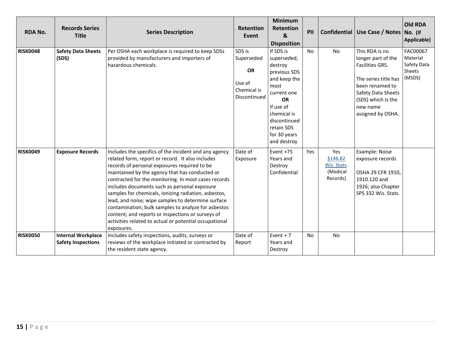| <b>RDA No.</b>  | <b>Records Series</b><br><b>Title</b>                  | <b>Series Description</b>                                                                                                                                                                                                                                                                                                                                                                                                                                                                                                                                                                                             | Retention<br>Event                                                         | <b>Minimum</b><br>Retention<br>&<br><b>Disposition</b>                                                                                                                                    | PII       |                                                              | Confidential   Use Case / Notes                                                                                                                                                 | <b>Old RDA</b><br>No. (If<br>Applicable)                |
|-----------------|--------------------------------------------------------|-----------------------------------------------------------------------------------------------------------------------------------------------------------------------------------------------------------------------------------------------------------------------------------------------------------------------------------------------------------------------------------------------------------------------------------------------------------------------------------------------------------------------------------------------------------------------------------------------------------------------|----------------------------------------------------------------------------|-------------------------------------------------------------------------------------------------------------------------------------------------------------------------------------------|-----------|--------------------------------------------------------------|---------------------------------------------------------------------------------------------------------------------------------------------------------------------------------|---------------------------------------------------------|
| <b>RISK0048</b> | <b>Safety Data Sheets</b><br>(SDS)                     | Per OSHA each workplace is required to keep SDSs<br>provided by manufacturers and importers of<br>hazardous chemicals.                                                                                                                                                                                                                                                                                                                                                                                                                                                                                                | SDS is<br>Superseded<br><b>OR</b><br>Use of<br>Chemical is<br>Discontinued | If SDS is<br>superseded,<br>destroy<br>previous SDS<br>and keep the<br>most<br>current one<br>OR<br>If use of<br>chemical is<br>discontinued<br>retain SDS<br>for 30 years<br>and destroy | <b>No</b> | <b>No</b>                                                    | This RDA is no<br>longer part of the<br>Facilities GRS.<br>The series title has<br>been renamed to<br>Safety Data Sheets<br>(SDS) which is the<br>new name<br>assigned by OSHA. | FAC00067<br>Material<br>Safety Data<br>Sheets<br>(MSDS) |
| <b>RISK0049</b> | <b>Exposure Records</b>                                | Includes the specifics of the incident and any agency<br>related form, report or record. It also includes<br>records of personal exposures required to be<br>maintained by the agency that has conducted or<br>contracted for the monitoring. In most cases records<br>includes documents such as personal exposure<br>samples for chemicals, ionizing radiation, asbestos,<br>lead, and noise; wipe samples to determine surface<br>contamination; bulk samples to analyze for asbestos<br>content; and reports or inspections or surveys of<br>activities related to actual or potential occupational<br>exposures. | Date of<br>Exposure                                                        | Event +75<br>Years and<br>Destroy<br>Confidential                                                                                                                                         | Yes       | Yes<br><b>§146.82</b><br>Wis. Stats.<br>(Medical<br>Records) | Example: Noise<br>exposure records<br>OSHA 29 CFR 1910,<br>1910.120 and<br>1926; also Chapter<br>SPS 332 Wis. Stats.                                                            |                                                         |
| <b>RISK0050</b> | <b>Internal Workplace</b><br><b>Safety Inspections</b> | Includes safety inspections, audits, surveys or<br>reviews of the workplace initiated or contracted by<br>the resident state agency.                                                                                                                                                                                                                                                                                                                                                                                                                                                                                  | Date of<br>Report                                                          | Event $+7$<br>Years and<br>Destroy                                                                                                                                                        | <b>No</b> | No                                                           |                                                                                                                                                                                 |                                                         |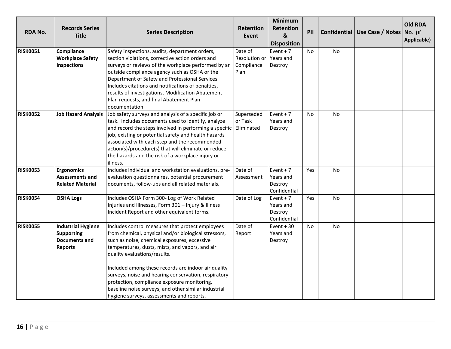| <b>RDA No.</b>  | <b>Records Series</b><br><b>Title</b>                                             | <b>Series Description</b>                                                                                                                                                                                                                                                                                                                                                                                                                                                                                      | <b>Retention</b><br>Event                      | <b>Minimum</b><br><b>Retention</b><br>$\boldsymbol{8}$<br><b>Disposition</b> | PII       |           | Confidential   Use Case / Notes   No. (If | <b>Old RDA</b><br>Applicable) |
|-----------------|-----------------------------------------------------------------------------------|----------------------------------------------------------------------------------------------------------------------------------------------------------------------------------------------------------------------------------------------------------------------------------------------------------------------------------------------------------------------------------------------------------------------------------------------------------------------------------------------------------------|------------------------------------------------|------------------------------------------------------------------------------|-----------|-----------|-------------------------------------------|-------------------------------|
| <b>RISK0051</b> | Compliance<br><b>Workplace Safety</b><br>Inspections                              | Safety inspections, audits, department orders,<br>section violations, corrective action orders and<br>surveys or reviews of the workplace performed by an<br>outside compliance agency such as OSHA or the<br>Department of Safety and Professional Services.<br>Includes citations and notifications of penalties,<br>results of investigations, Modification Abatement<br>Plan requests, and final Abatement Plan<br>documentation.                                                                          | Date of<br>Resolution or<br>Compliance<br>Plan | Event $+7$<br>Years and<br>Destroy                                           | No        | No        |                                           |                               |
| <b>RISK0052</b> | <b>Job Hazard Analysis</b>                                                        | Job safety surveys and analysis of a specific job or<br>task. Includes documents used to identify, analyze<br>and record the steps involved in performing a specific Eliminated<br>job, existing or potential safety and health hazards<br>associated with each step and the recommended<br>action(s)/procedure(s) that will eliminate or reduce<br>the hazards and the risk of a workplace injury or<br>illness.                                                                                              | Superseded<br>or Task                          | Event $+7$<br>Years and<br>Destroy                                           | No        | <b>No</b> |                                           |                               |
| <b>RISK0053</b> | <b>Ergonomics</b><br><b>Assessments and</b><br><b>Related Material</b>            | Includes individual and workstation evaluations, pre-<br>evaluation questionnaires, potential procurement<br>documents, follow-ups and all related materials.                                                                                                                                                                                                                                                                                                                                                  | Date of<br>Assessment                          | Event $+7$<br>Years and<br>Destroy<br>Confidential                           | Yes       | <b>No</b> |                                           |                               |
| <b>RISK0054</b> | <b>OSHA Logs</b>                                                                  | Includes OSHA Form 300- Log of Work Related<br>Injuries and Illnesses, Form 301 - Injury & Illness<br>Incident Report and other equivalent forms.                                                                                                                                                                                                                                                                                                                                                              | Date of Log                                    | Event $+7$<br>Years and<br>Destroy<br>Confidential                           | Yes       | No        |                                           |                               |
| <b>RISK0055</b> | <b>Industrial Hygiene</b><br><b>Supporting</b><br>Documents and<br><b>Reports</b> | Includes control measures that protect employees<br>from chemical, physical and/or biological stressors,<br>such as noise, chemical exposures, excessive<br>temperatures, dusts, mists, and vapors, and air<br>quality evaluations/results.<br>Included among these records are indoor air quality<br>surveys, noise and hearing conservation, respiratory<br>protection, compliance exposure monitoring,<br>baseline noise surveys, and other similar industrial<br>hygiene surveys, assessments and reports. | Date of<br>Report                              | Event $+30$<br>Years and<br>Destroy                                          | <b>No</b> | <b>No</b> |                                           |                               |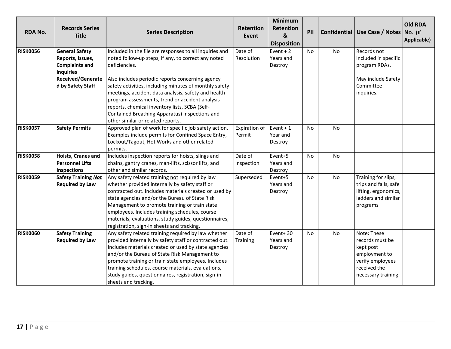| <b>RDA No.</b>                                                                                                                                      | <b>Records Series</b><br><b>Title</b>                       | <b>Series Description</b>                                                                                                                                                                                                                                                                                                                                                                                              | <b>Retention</b><br>Event | <b>Minimum</b><br><b>Retention</b><br>&<br><b>Disposition</b> | PII |           | Confidential   Use Case / Notes   No. (If                                                                               | <b>Old RDA</b><br>Applicable) |
|-----------------------------------------------------------------------------------------------------------------------------------------------------|-------------------------------------------------------------|------------------------------------------------------------------------------------------------------------------------------------------------------------------------------------------------------------------------------------------------------------------------------------------------------------------------------------------------------------------------------------------------------------------------|---------------------------|---------------------------------------------------------------|-----|-----------|-------------------------------------------------------------------------------------------------------------------------|-------------------------------|
| <b>RISK0056</b><br><b>General Safety</b><br>Reports, Issues,<br><b>Complaints and</b><br><b>Inquiries</b><br>Received/Generate<br>d by Safety Staff |                                                             | Included in the file are responses to all inquiries and<br>noted follow-up steps, if any, to correct any noted<br>deficiencies.<br>Also includes periodic reports concerning agency<br>safety activities, including minutes of monthly safety<br>meetings, accident data analysis, safety and health                                                                                                                   | Date of<br>Resolution     | Event $+2$<br>Years and<br>Destroy                            | No  | No        | Records not<br>included in specific<br>program RDAs.<br>May include Safety<br>Committee<br>inquiries.                   |                               |
|                                                                                                                                                     |                                                             | program assessments, trend or accident analysis<br>reports, chemical inventory lists, SCBA (Self-<br>Contained Breathing Apparatus) inspections and<br>other similar or related reports.                                                                                                                                                                                                                               |                           |                                                               |     |           |                                                                                                                         |                               |
| <b>RISK0057</b>                                                                                                                                     | <b>Safety Permits</b>                                       | Approved plan of work for specific job safety action.<br>Examples include permits for Confined Space Entry,<br>Lockout/Tagout, Hot Works and other related<br>permits.                                                                                                                                                                                                                                                 | Expiration of<br>Permit   | Event $+1$<br>Year and<br>Destroy                             | No  | No        |                                                                                                                         |                               |
| <b>RISK0058</b>                                                                                                                                     | Hoists, Cranes and<br><b>Personnel Lifts</b><br>Inspections | Includes inspection reports for hoists, slings and<br>chains, gantry cranes, man-lifts, scissor lifts, and<br>other and similar records.                                                                                                                                                                                                                                                                               | Date of<br>Inspection     | Event+5<br>Years and<br>Destroy                               | No  | <b>No</b> |                                                                                                                         |                               |
| <b>RISK0059</b>                                                                                                                                     | <b>Safety Training Not</b><br><b>Required by Law</b>        | Any safety related training not required by law<br>whether provided internally by safety staff or<br>contracted out. Includes materials created or used by<br>state agencies and/or the Bureau of State Risk<br>Management to promote training or train state<br>employees. Includes training schedules, course<br>materials, evaluations, study guides, questionnaires,<br>registration, sign-in sheets and tracking. | Superseded                | Event+5<br>Years and<br>Destroy                               | No  | No        | Training for slips,<br>trips and falls, safe<br>lifting, ergonomics,<br>ladders and similar<br>programs                 |                               |
| <b>RISK0060</b>                                                                                                                                     | <b>Safety Training</b><br><b>Required by Law</b>            | Any safety related training required by law whether<br>provided internally by safety staff or contracted out.<br>Includes materials created or used by state agencies<br>and/or the Bureau of State Risk Management to<br>promote training or train state employees. Includes<br>training schedules, course materials, evaluations,<br>study guides, questionnaires, registration, sign-in<br>sheets and tracking.     | Date of<br>Training       | Event+30<br>Years and<br>Destroy                              | No  | No        | Note: These<br>records must be<br>kept post<br>employment to<br>verify employees<br>received the<br>necessary training. |                               |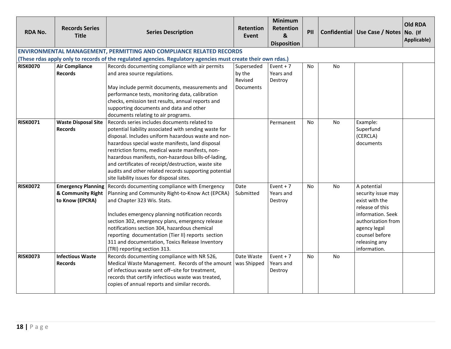| <b>RDA No.</b>  | <b>Records Series</b><br><b>Title</b>                             | <b>Series Description</b>                                                                                                                                                                                                                                                                                                                                                                                                                                                                | <b>Retention</b><br>Event                           | <b>Minimum</b><br><b>Retention</b><br>&<br><b>Disposition</b> | PII       |                | Confidential   Use Case / Notes   No. (If                                                                                                                                            | <b>Old RDA</b><br>Applicable) |
|-----------------|-------------------------------------------------------------------|------------------------------------------------------------------------------------------------------------------------------------------------------------------------------------------------------------------------------------------------------------------------------------------------------------------------------------------------------------------------------------------------------------------------------------------------------------------------------------------|-----------------------------------------------------|---------------------------------------------------------------|-----------|----------------|--------------------------------------------------------------------------------------------------------------------------------------------------------------------------------------|-------------------------------|
|                 |                                                                   | <b>ENVIRONMENTAL MANAGEMENT, PERMITTING AND COMPLIANCE RELATED RECORDS</b>                                                                                                                                                                                                                                                                                                                                                                                                               |                                                     |                                                               |           |                |                                                                                                                                                                                      |                               |
|                 |                                                                   | (These rdas apply only to records of the regulated agencies. Regulatory agencies must create their own rdas.)                                                                                                                                                                                                                                                                                                                                                                            |                                                     |                                                               |           |                |                                                                                                                                                                                      |                               |
| <b>RISK0070</b> | <b>Air Compliance</b><br><b>Records</b>                           | Records documenting compliance with air permits<br>and area source regulations.<br>May include permit documents, measurements and                                                                                                                                                                                                                                                                                                                                                        | Superseded<br>by the<br>Revised<br><b>Documents</b> | Event $+7$<br>Years and<br>Destroy                            | <b>No</b> | <b>No</b>      |                                                                                                                                                                                      |                               |
|                 |                                                                   | performance tests, monitoring data, calibration<br>checks, emission test results, annual reports and<br>supporting documents and data and other<br>documents relating to air programs.                                                                                                                                                                                                                                                                                                   |                                                     |                                                               |           |                |                                                                                                                                                                                      |                               |
| <b>RISK0071</b> | <b>Waste Disposal Site</b><br><b>Records</b>                      | Records series includes documents related to<br>potential liability associated with sending waste for<br>disposal. Includes uniform hazardous waste and non-<br>hazardous special waste manifests, land disposal<br>restriction forms, medical waste manifests, non-<br>hazardous manifests, non-hazardous bills-of-lading,<br>and certificates of receipt/destruction, waste site<br>audits and other related records supporting potential<br>site liability issues for disposal sites. |                                                     | Permanent                                                     | No        | N <sub>o</sub> | Example:<br>Superfund<br>(CERCLA)<br>documents                                                                                                                                       |                               |
| <b>RISK0072</b> | <b>Emergency Planning</b><br>& Community Right<br>to Know (EPCRA) | Records documenting compliance with Emergency<br>Planning and Community Right-to-Know Act (EPCRA)<br>and Chapter 323 Wis. Stats.<br>Includes emergency planning notification records<br>section 302, emergency plans, emergency release<br>notifications section 304, hazardous chemical<br>reporting documentation (Tier II) reports section<br>311 and documentation, Toxics Release Inventory<br>(TRI) reporting section 313.                                                         | Date<br>Submitted                                   | Event $+7$<br>Years and<br>Destroy                            | <b>No</b> | <b>No</b>      | A potential<br>security issue may<br>exist with the<br>release of this<br>information. Seek<br>authorization from<br>agency legal<br>counsel before<br>releasing any<br>information. |                               |
| <b>RISK0073</b> | <b>Infectious Waste</b><br><b>Records</b>                         | Records documenting compliance with NR 526,<br>Medical Waste Management. Records of the amount   was Shipped<br>of infectious waste sent off-site for treatment,<br>records that certify infectious waste was treated,<br>copies of annual reports and similar records.                                                                                                                                                                                                                  | Date Waste                                          | Event $+7$<br>Years and<br>Destroy                            | <b>No</b> | <b>No</b>      |                                                                                                                                                                                      |                               |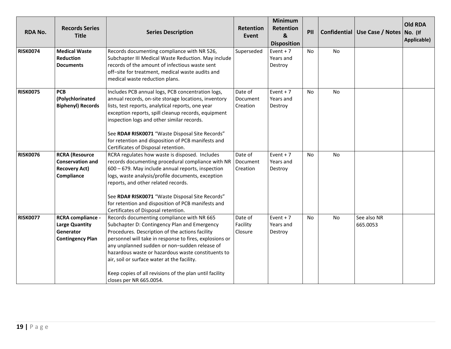| <b>RDA No.</b>  | <b>Records Series</b><br><b>Title</b>                                                     | <b>Series Description</b>                                                                                                                                                                                                                                                                                                                                                                                                                            | <b>Retention</b><br>Event       | <b>Minimum</b><br>Retention<br>&<br><b>Disposition</b> | PII       |           | Confidential   Use Case / Notes   No. (If | <b>Old RDA</b><br>Applicable) |
|-----------------|-------------------------------------------------------------------------------------------|------------------------------------------------------------------------------------------------------------------------------------------------------------------------------------------------------------------------------------------------------------------------------------------------------------------------------------------------------------------------------------------------------------------------------------------------------|---------------------------------|--------------------------------------------------------|-----------|-----------|-------------------------------------------|-------------------------------|
| <b>RISK0074</b> | <b>Medical Waste</b><br><b>Reduction</b><br><b>Documents</b>                              | Records documenting compliance with NR 526,<br>Subchapter III Medical Waste Reduction. May include<br>records of the amount of infectious waste sent<br>off-site for treatment, medical waste audits and<br>medical waste reduction plans.                                                                                                                                                                                                           | Superseded                      | Event $+7$<br>Years and<br>Destroy                     | <b>No</b> | No        |                                           |                               |
| <b>RISK0075</b> | <b>PCB</b><br>(Polychlorinated<br><b>Biphenyl) Records</b>                                | Includes PCB annual logs, PCB concentration logs,<br>annual records, on-site storage locations, inventory<br>lists, test reports, analytical reports, one year<br>exception reports, spill cleanup records, equipment<br>inspection logs and other similar records.<br>See RDA# RISK0071 "Waste Disposal Site Records"<br>for retention and disposition of PCB manifests and<br>Certificates of Disposal retention.                                  | Date of<br>Document<br>Creation | Event $+7$<br>Years and<br>Destroy                     | <b>No</b> | No        |                                           |                               |
| <b>RISK0076</b> | <b>RCRA</b> (Resource<br><b>Conservation and</b><br><b>Recovery Act)</b><br>Compliance    | RCRA regulates how waste is disposed. Includes<br>records documenting procedural compliance with NR   Document<br>600 - 679. May include annual reports, inspection<br>logs, waste analysis/profile documents, exception<br>reports, and other related records.<br>See RDA# RISK0071 "Waste Disposal Site Records"<br>for retention and disposition of PCB manifests and<br>Certificates of Disposal retention.                                      | Date of<br>Creation             | Event $+7$<br>Years and<br>Destroy                     | No        | No        |                                           |                               |
| <b>RISK0077</b> | <b>RCRA compliance -</b><br><b>Large Quantity</b><br>Generator<br><b>Contingency Plan</b> | Records documenting compliance with NR 665<br>Subchapter D: Contingency Plan and Emergency<br>Procedures. Description of the actions facility<br>personnel will take in response to fires, explosions or<br>any unplanned sudden or non-sudden release of<br>hazardous waste or hazardous waste constituents to<br>air, soil or surface water at the facility.<br>Keep copies of all revisions of the plan until facility<br>closes per NR 665.0054. | Date of<br>Facility<br>Closure  | Event $+7$<br>Years and<br>Destroy                     | <b>No</b> | <b>No</b> | See also NR<br>665.0053                   |                               |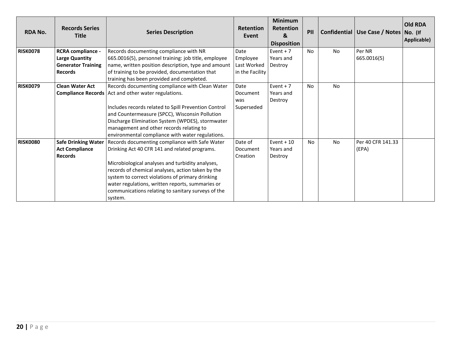| <b>RDA No.</b>  | <b>Records Series</b><br><b>Title</b>                                                            | <b>Series Description</b>                                                                                                                                                                                                                                                                                                                                                         | <b>Retention</b><br>Event                          | <b>Minimum</b><br><b>Retention</b><br>$\mathbf{g}$<br><b>Disposition</b> | PII            |           | Confidential   Use Case / Notes   No. (If | <b>Old RDA</b><br>Applicable) |
|-----------------|--------------------------------------------------------------------------------------------------|-----------------------------------------------------------------------------------------------------------------------------------------------------------------------------------------------------------------------------------------------------------------------------------------------------------------------------------------------------------------------------------|----------------------------------------------------|--------------------------------------------------------------------------|----------------|-----------|-------------------------------------------|-------------------------------|
| <b>RISK0078</b> | <b>RCRA</b> compliance -<br><b>Large Quantity</b><br><b>Generator Training</b><br><b>Records</b> | Records documenting compliance with NR<br>665.0016(5), personnel training: job title, employee<br>name, written position description, type and amount<br>of training to be provided, documentation that<br>training has been provided and completed.                                                                                                                              | Date<br>Employee<br>Last Worked<br>in the Facility | Event $+7$<br>Years and<br>Destroy                                       | N <sub>0</sub> | <b>No</b> | Per NR<br>665.0016(5)                     |                               |
| <b>RISK0079</b> | <b>Clean Water Act</b><br><b>Compliance Records</b>                                              | Records documenting compliance with Clean Water<br>Act and other water regulations.<br>Includes records related to Spill Prevention Control<br>and Countermeasure (SPCC), Wisconsin Pollution<br>Discharge Elimination System (WPDES), stormwater<br>management and other records relating to<br>environmental compliance with water regulations.                                 | Date<br>Document<br>was<br>Superseded              | Event $+7$<br>Years and<br>Destroy                                       | No             | <b>No</b> |                                           |                               |
| <b>RISK0080</b> | <b>Safe Drinking Water</b><br><b>Act Compliance</b><br><b>Records</b>                            | Records documenting compliance with Safe Water<br>Drinking Act 40 CFR 141 and related programs.<br>Microbiological analyses and turbidity analyses,<br>records of chemical analyses, action taken by the<br>system to correct violations of primary drinking<br>water regulations, written reports, summaries or<br>communications relating to sanitary surveys of the<br>system. | Date of<br>Document<br>Creation                    | Event $+10$<br>Years and<br>Destroy                                      | <b>No</b>      | <b>No</b> | Per 40 CFR 141.33<br>(EPA)                |                               |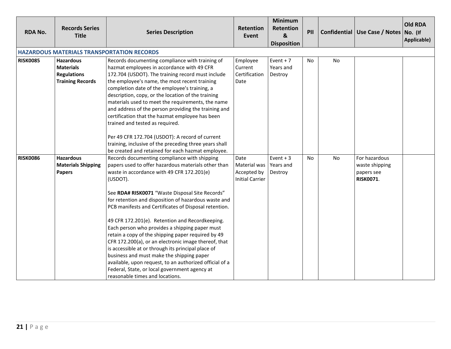| <b>RDA No.</b>  | <b>Records Series</b><br><b>Title</b>                                                 | <b>Series Description</b>                                                                                                                                                                                                                                                                                                                                                                                                                                                                                                                                                                                                                                                                                                                                                                              | <b>Retention</b><br>Event                                     | <b>Minimum</b><br>Retention<br>$\boldsymbol{8}$<br><b>Disposition</b> | PII |    | Confidential   Use Case / Notes   No. (If                         | <b>Old RDA</b><br>Applicable) |
|-----------------|---------------------------------------------------------------------------------------|--------------------------------------------------------------------------------------------------------------------------------------------------------------------------------------------------------------------------------------------------------------------------------------------------------------------------------------------------------------------------------------------------------------------------------------------------------------------------------------------------------------------------------------------------------------------------------------------------------------------------------------------------------------------------------------------------------------------------------------------------------------------------------------------------------|---------------------------------------------------------------|-----------------------------------------------------------------------|-----|----|-------------------------------------------------------------------|-------------------------------|
|                 |                                                                                       | <b>HAZARDOUS MATERIALS TRANSPORTATION RECORDS</b>                                                                                                                                                                                                                                                                                                                                                                                                                                                                                                                                                                                                                                                                                                                                                      |                                                               |                                                                       |     |    |                                                                   |                               |
| <b>RISK0085</b> | <b>Hazardous</b><br><b>Materials</b><br><b>Regulations</b><br><b>Training Records</b> | Records documenting compliance with training of<br>hazmat employees in accordance with 49 CFR<br>172.704 (USDOT). The training record must include<br>the employee's name, the most recent training<br>completion date of the employee's training, a<br>description, copy, or the location of the training<br>materials used to meet the requirements, the name<br>and address of the person providing the training and<br>certification that the hazmat employee has been<br>trained and tested as required.                                                                                                                                                                                                                                                                                          | Employee<br>Current<br>Certification<br>Date                  | Event $+7$<br>Years and<br>Destroy                                    | No  | No |                                                                   |                               |
|                 |                                                                                       | Per 49 CFR 172.704 (USDOT): A record of current<br>training, inclusive of the preceding three years shall<br>be created and retained for each hazmat employee.                                                                                                                                                                                                                                                                                                                                                                                                                                                                                                                                                                                                                                         |                                                               |                                                                       |     |    |                                                                   |                               |
| <b>RISK0086</b> | <b>Hazardous</b><br><b>Materials Shipping</b><br><b>Papers</b>                        | Records documenting compliance with shipping<br>papers used to offer hazardous materials other than<br>waste in accordance with 49 CFR 172.201(e)<br>(USDOT).<br>See RDA# RISK0071 "Waste Disposal Site Records"<br>for retention and disposition of hazardous waste and<br>PCB manifests and Certificates of Disposal retention.<br>49 CFR 172.201(e). Retention and Recordkeeping.<br>Each person who provides a shipping paper must<br>retain a copy of the shipping paper required by 49<br>CFR 172.200(a), or an electronic image thereof, that<br>is accessible at or through its principal place of<br>business and must make the shipping paper<br>available, upon request, to an authorized official of a<br>Federal, State, or local government agency at<br>reasonable times and locations. | Date<br>Material was<br>Accepted by<br><b>Initial Carrier</b> | Event $+3$<br>Years and<br>Destroy                                    | No  | No | For hazardous<br>waste shipping<br>papers see<br><b>RISK0071.</b> |                               |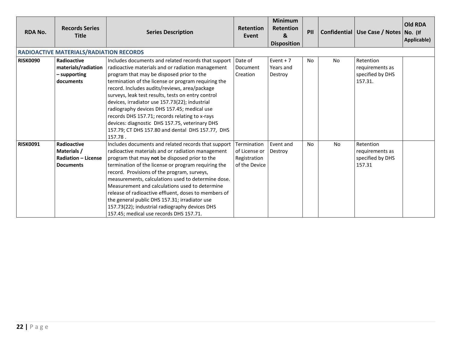| <b>RDA No.</b>  | <b>Records Series</b><br><b>Title</b>                                               | <b>Series Description</b>                                                                                                                                                                                                                                                                                                                                                                                                                                                                                                                                                                                               | <b>Retention</b><br>Event                                     | <b>Minimum</b><br><b>Retention</b><br>&<br><b>Disposition</b> | PII       |           | Confidential   Use Case / Notes   No. (If                   | <b>Old RDA</b><br>Applicable) |
|-----------------|-------------------------------------------------------------------------------------|-------------------------------------------------------------------------------------------------------------------------------------------------------------------------------------------------------------------------------------------------------------------------------------------------------------------------------------------------------------------------------------------------------------------------------------------------------------------------------------------------------------------------------------------------------------------------------------------------------------------------|---------------------------------------------------------------|---------------------------------------------------------------|-----------|-----------|-------------------------------------------------------------|-------------------------------|
|                 | <b>RADIOACTIVE MATERIALS/RADIATION RECORDS</b>                                      |                                                                                                                                                                                                                                                                                                                                                                                                                                                                                                                                                                                                                         |                                                               |                                                               |           |           |                                                             |                               |
| <b>RISK0090</b> | <b>Radioactive</b><br>materials/radiation<br>- supporting<br><b>documents</b>       | Includes documents and related records that support Date of<br>radioactive materials and or radiation management<br>Document<br>program that may be disposed prior to the<br>Creation<br>termination of the license or program requiring the<br>record. Includes audits/reviews, area/package<br>surveys, leak test results, tests on entry control<br>devices, irradiator use 157.73(22); industrial<br>radiography devices DHS 157.45; medical use<br>records DHS 157.71; records relating to x-rays<br>devices: diagnostic DHS 157.75, veterinary DHS<br>157.79; CT DHS 157.80 and dental DHS 157.77, DHS<br>157.78. |                                                               | Event $+7$<br>Years and<br>Destroy                            | No.       | <b>No</b> | Retention<br>requirements as<br>specified by DHS<br>157.31. |                               |
| <b>RISK0091</b> | <b>Radioactive</b><br>Materials /<br><b>Radiation - License</b><br><b>Documents</b> | Includes documents and related records that support<br>radioactive materials and or radiation management<br>program that may not be disposed prior to the<br>termination of the license or program requiring the<br>record. Provisions of the program, surveys,<br>measurements, calculations used to determine dose.<br>Measurement and calculations used to determine<br>release of radioactive effluent, doses to members of<br>the general public DHS 157.31; irradiator use<br>157.73(22); industrial radiography devices DHS<br>157.45; medical use records DHS 157.71.                                           | Termination<br>of License or<br>Registration<br>of the Device | Event and<br>Destroy                                          | <b>No</b> | No        | Retention<br>requirements as<br>specified by DHS<br>157.31  |                               |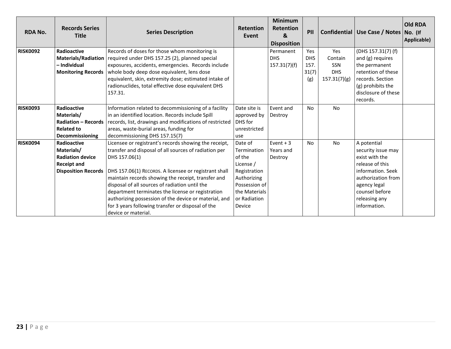| <b>RDA No.</b>  | <b>Records Series</b><br><b>Title</b> | <b>Series Description</b>                               | <b>Retention</b><br>Event | <b>Minimum</b><br>Retention<br>&<br><b>Disposition</b> | PII        |              | Confidential   Use Case / Notes   No. (If | <b>Old RDA</b><br>Applicable) |
|-----------------|---------------------------------------|---------------------------------------------------------|---------------------------|--------------------------------------------------------|------------|--------------|-------------------------------------------|-------------------------------|
| <b>RISK0092</b> | Radioactive                           | Records of doses for those whom monitoring is           |                           | Permanent                                              | Yes        | Yes          | (DHS 157.31(7) (f)                        |                               |
|                 | <b>Materials/Radiation</b>            | required under DHS 157.25 (2), planned special          |                           | <b>DHS</b>                                             | <b>DHS</b> | Contain      | and (g) requires                          |                               |
|                 | – Individual                          | exposures, accidents, emergencies. Records include      |                           | 157.31(7)(f)                                           | 157.       | <b>SSN</b>   | the permanent                             |                               |
|                 | <b>Monitoring Records</b>             | whole body deep dose equivalent, lens dose              |                           |                                                        | 31(7)      | <b>DHS</b>   | retention of these                        |                               |
|                 |                                       | equivalent, skin, extremity dose; estimated intake of   |                           |                                                        | (g)        | 157.31(7)(g) | records. Section                          |                               |
|                 |                                       | radionuclides, total effective dose equivalent DHS      |                           |                                                        |            |              | (g) prohibits the                         |                               |
|                 |                                       | 157.31.                                                 |                           |                                                        |            |              | disclosure of these                       |                               |
|                 |                                       |                                                         |                           |                                                        |            |              | records.                                  |                               |
| <b>RISK0093</b> | Radioactive                           | Information related to decommissioning of a facility    | Date site is              | Event and                                              | No         | <b>No</b>    |                                           |                               |
|                 | Materials/                            | in an identified location. Records include Spill        | approved by               | Destroy                                                |            |              |                                           |                               |
|                 | <b>Radiation - Records</b>            | records, list, drawings and modifications of restricted | DHS for                   |                                                        |            |              |                                           |                               |
|                 | <b>Related to</b>                     | areas, waste-burial areas, funding for                  | unrestricted              |                                                        |            |              |                                           |                               |
|                 | <b>Decommissioning</b>                | decommissioning DHS 157.15(7)                           | use                       |                                                        |            |              |                                           |                               |
| <b>RISK0094</b> | Radioactive                           | Licensee or registrant's records showing the receipt,   | Date of                   | Event $+3$                                             | No         | <b>No</b>    | A potential                               |                               |
|                 | Materials/                            | transfer and disposal of all sources of radiation per   | Termination               | l Years and                                            |            |              | security issue may                        |                               |
|                 | <b>Radiation device</b>               | DHS 157.06(1)                                           | of the                    | Destroy                                                |            |              | exist with the                            |                               |
|                 | <b>Receipt and</b>                    |                                                         | License /                 |                                                        |            |              | release of this                           |                               |
|                 | <b>Disposition Records</b>            | DHS 157.06(1) RECORDS. A licensee or registrant shall   | Registration              |                                                        |            |              | information. Seek                         |                               |
|                 |                                       | maintain records showing the receipt, transfer and      | Authorizing               |                                                        |            |              | authorization from                        |                               |
|                 |                                       | disposal of all sources of radiation until the          | Possession of             |                                                        |            |              | agency legal                              |                               |
|                 |                                       | department terminates the license or registration       | the Materials             |                                                        |            |              | counsel before                            |                               |
|                 |                                       | authorizing possession of the device or material, and   | or Radiation              |                                                        |            |              | releasing any                             |                               |
|                 |                                       | for 3 years following transfer or disposal of the       | Device                    |                                                        |            |              | information.                              |                               |
|                 |                                       | device or material.                                     |                           |                                                        |            |              |                                           |                               |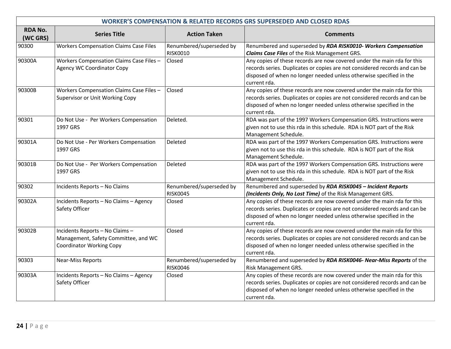| <b>WORKER'S COMPENSATION &amp; RELATED RECORDS GRS SUPERSEDED AND CLOSED RDAS</b> |                                                                                                            |                                             |                                                                                                                                                                                                                                              |  |  |  |  |
|-----------------------------------------------------------------------------------|------------------------------------------------------------------------------------------------------------|---------------------------------------------|----------------------------------------------------------------------------------------------------------------------------------------------------------------------------------------------------------------------------------------------|--|--|--|--|
| <b>RDA No.</b><br>(WC GRS)                                                        | <b>Series Title</b>                                                                                        | <b>Action Taken</b>                         | <b>Comments</b>                                                                                                                                                                                                                              |  |  |  |  |
| 90300                                                                             | <b>Workers Compensation Claims Case Files</b>                                                              | Renumbered/superseded by<br><b>RISK0010</b> | Renumbered and superseded by RDA RISK0010- Workers Compensation<br><b>Claims Case Files of the Risk Management GRS.</b>                                                                                                                      |  |  |  |  |
| 90300A                                                                            | Workers Compensation Claims Case Files -<br>Agency WC Coordinator Copy                                     | Closed                                      | Any copies of these records are now covered under the main rda for this<br>records series. Duplicates or copies are not considered records and can be<br>disposed of when no longer needed unless otherwise specified in the<br>current rda. |  |  |  |  |
| 90300B                                                                            | Workers Compensation Claims Case Files -<br>Supervisor or Unit Working Copy                                | Closed                                      | Any copies of these records are now covered under the main rda for this<br>records series. Duplicates or copies are not considered records and can be<br>disposed of when no longer needed unless otherwise specified in the<br>current rda. |  |  |  |  |
| 90301                                                                             | Do Not Use - Per Workers Compensation<br>1997 GRS                                                          | Deleted.                                    | RDA was part of the 1997 Workers Compensation GRS. Instructions were<br>given not to use this rda in this schedule. RDA is NOT part of the Risk<br>Management Schedule.                                                                      |  |  |  |  |
| 90301A                                                                            | Do Not Use - Per Workers Compensation<br>1997 GRS                                                          | Deleted                                     | RDA was part of the 1997 Workers Compensation GRS. Instructions were<br>given not to use this rda in this schedule. RDA is NOT part of the Risk<br>Management Schedule.                                                                      |  |  |  |  |
| 90301B                                                                            | Do Not Use - Per Workers Compensation<br>1997 GRS                                                          | Deleted                                     | RDA was part of the 1997 Workers Compensation GRS. Instructions were<br>given not to use this rda in this schedule. RDA is NOT part of the Risk<br>Management Schedule.                                                                      |  |  |  |  |
| 90302                                                                             | Incidents Reports - No Claims                                                                              | Renumbered/superseded by<br><b>RISK0045</b> | Renumbered and superseded by RDA RISK0045 - Incident Reports<br>(Incidents Only, No Lost Time) of the Risk Management GRS.                                                                                                                   |  |  |  |  |
| 90302A                                                                            | Incidents Reports - No Claims - Agency<br>Safety Officer                                                   | Closed                                      | Any copies of these records are now covered under the main rda for this<br>records series. Duplicates or copies are not considered records and can be<br>disposed of when no longer needed unless otherwise specified in the<br>current rda. |  |  |  |  |
| 90302B                                                                            | Incidents Reports - No Claims -<br>Management, Safety Committee, and WC<br><b>Coordinator Working Copy</b> | Closed                                      | Any copies of these records are now covered under the main rda for this<br>records series. Duplicates or copies are not considered records and can be<br>disposed of when no longer needed unless otherwise specified in the<br>current rda. |  |  |  |  |
| 90303                                                                             | <b>Near-Miss Reports</b>                                                                                   | Renumbered/superseded by<br><b>RISK0046</b> | Renumbered and superseded by RDA RISK0046- Near-Miss Reports of the<br><b>Risk Management GRS.</b>                                                                                                                                           |  |  |  |  |
| 90303A                                                                            | Incidents Reports - No Claims - Agency<br>Safety Officer                                                   | Closed                                      | Any copies of these records are now covered under the main rda for this<br>records series. Duplicates or copies are not considered records and can be<br>disposed of when no longer needed unless otherwise specified in the<br>current rda. |  |  |  |  |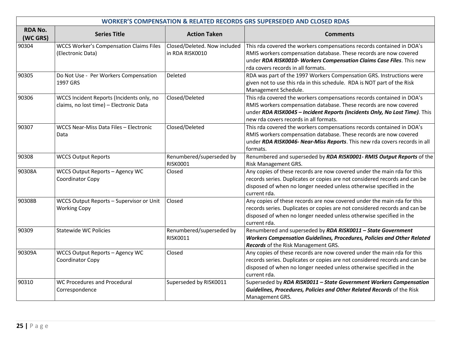| <b>WORKER'S COMPENSATION &amp; RELATED RECORDS GRS SUPERSEDED AND CLOSED RDAS</b> |                                                                                      |                                                 |                                                                                                                                                                                                                                                                    |  |  |  |  |
|-----------------------------------------------------------------------------------|--------------------------------------------------------------------------------------|-------------------------------------------------|--------------------------------------------------------------------------------------------------------------------------------------------------------------------------------------------------------------------------------------------------------------------|--|--|--|--|
| <b>RDA No.</b><br>(WC GRS)                                                        | <b>Series Title</b>                                                                  | <b>Action Taken</b>                             | <b>Comments</b>                                                                                                                                                                                                                                                    |  |  |  |  |
| 90304                                                                             | <b>WCCS Worker's Compensation Claims Files</b><br>(Electronic Data)                  | Closed/Deleted. Now included<br>in RDA RISK0010 | This rda covered the workers compensations records contained in DOA's<br>RMIS workers compensation database. These records are now covered<br>under RDA RISK0010- Workers Compensation Claims Case Files. This new<br>rda covers records in all formats.           |  |  |  |  |
| 90305                                                                             | Do Not Use - Per Workers Compensation<br>1997 GRS                                    | Deleted                                         | RDA was part of the 1997 Workers Compensation GRS. Instructions were<br>given not to use this rda in this schedule. RDA is NOT part of the Risk<br>Management Schedule.                                                                                            |  |  |  |  |
| 90306                                                                             | WCCS Incident Reports (Incidents only, no<br>claims, no lost time) - Electronic Data | Closed/Deleted                                  | This rda covered the workers compensations records contained in DOA's<br>RMIS workers compensation database. These records are now covered<br>under RDA RISK0045 - Incident Reports (Incidents Only, No Lost Time). This<br>new rda covers records in all formats. |  |  |  |  |
| 90307                                                                             | WCCS Near-Miss Data Files - Electronic<br>Data                                       | Closed/Deleted                                  | This rda covered the workers compensations records contained in DOA's<br>RMIS workers compensation database. These records are now covered<br>under RDA RISK0046- Near-Miss Reports. This new rda covers records in all<br>formats.                                |  |  |  |  |
| 90308                                                                             | <b>WCCS Output Reports</b>                                                           | Renumbered/superseded by<br><b>RISK0001</b>     | Renumbered and superseded by RDA RISK0001- RMIS Output Reports of the<br>Risk Management GRS.                                                                                                                                                                      |  |  |  |  |
| 90308A                                                                            | WCCS Output Reports - Agency WC<br>Coordinator Copy                                  | Closed                                          | Any copies of these records are now covered under the main rda for this<br>records series. Duplicates or copies are not considered records and can be<br>disposed of when no longer needed unless otherwise specified in the<br>current rda.                       |  |  |  |  |
| 90308B                                                                            | WCCS Output Reports - Supervisor or Unit<br><b>Working Copy</b>                      | Closed                                          | Any copies of these records are now covered under the main rda for this<br>records series. Duplicates or copies are not considered records and can be<br>disposed of when no longer needed unless otherwise specified in the<br>current rda.                       |  |  |  |  |
| 90309                                                                             | <b>Statewide WC Policies</b>                                                         | Renumbered/superseded by<br>RISK0011            | Renumbered and superseded by RDA RISK0011 - State Government<br><b>Workers Compensation Guidelines, Procedures, Policies and Other Related</b><br>Records of the Risk Management GRS.                                                                              |  |  |  |  |
| 90309A                                                                            | WCCS Output Reports - Agency WC<br>Coordinator Copy                                  | Closed                                          | Any copies of these records are now covered under the main rda for this<br>records series. Duplicates or copies are not considered records and can be<br>disposed of when no longer needed unless otherwise specified in the<br>current rda.                       |  |  |  |  |
| 90310                                                                             | <b>WC Procedures and Procedural</b><br>Correspondence                                | Superseded by RISK0011                          | Superseded by RDA RISK0011 - State Government Workers Compensation<br>Guidelines, Procedures, Policies and Other Related Records of the Risk<br>Management GRS.                                                                                                    |  |  |  |  |